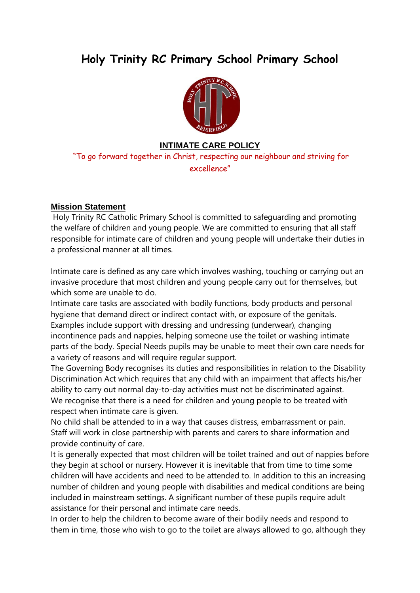# **Holy Trinity RC Primary School Primary School**



### **INTIMATE CARE POLICY**

"To go forward together in Christ, respecting our neighbour and striving for excellence"

### **Mission Statement**

Holy Trinity RC Catholic Primary School is committed to safeguarding and promoting the welfare of children and young people. We are committed to ensuring that all staff responsible for intimate care of children and young people will undertake their duties in a professional manner at all times.

Intimate care is defined as any care which involves washing, touching or carrying out an invasive procedure that most children and young people carry out for themselves, but which some are unable to do.

Intimate care tasks are associated with bodily functions, body products and personal hygiene that demand direct or indirect contact with, or exposure of the genitals. Examples include support with dressing and undressing (underwear), changing incontinence pads and nappies, helping someone use the toilet or washing intimate parts of the body. Special Needs pupils may be unable to meet their own care needs for a variety of reasons and will require regular support.

The Governing Body recognises its duties and responsibilities in relation to the Disability Discrimination Act which requires that any child with an impairment that affects his/her ability to carry out normal day-to-day activities must not be discriminated against. We recognise that there is a need for children and young people to be treated with respect when intimate care is given.

No child shall be attended to in a way that causes distress, embarrassment or pain. Staff will work in close partnership with parents and carers to share information and provide continuity of care.

It is generally expected that most children will be toilet trained and out of nappies before they begin at school or nursery. However it is inevitable that from time to time some children will have accidents and need to be attended to. In addition to this an increasing number of children and young people with disabilities and medical conditions are being included in mainstream settings. A significant number of these pupils require adult assistance for their personal and intimate care needs.

In order to help the children to become aware of their bodily needs and respond to them in time, those who wish to go to the toilet are always allowed to go, although they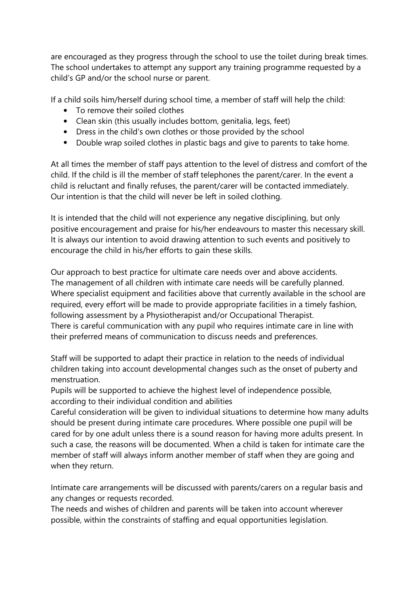are encouraged as they progress through the school to use the toilet during break times. The school undertakes to attempt any support any training programme requested by a child's GP and/or the school nurse or parent.

If a child soils him/herself during school time, a member of staff will help the child:

- To remove their soiled clothes
- Clean skin (this usually includes bottom, genitalia, legs, feet)
- Dress in the child's own clothes or those provided by the school
- Double wrap soiled clothes in plastic bags and give to parents to take home.

At all times the member of staff pays attention to the level of distress and comfort of the child. If the child is ill the member of staff telephones the parent/carer. In the event a child is reluctant and finally refuses, the parent/carer will be contacted immediately. Our intention is that the child will never be left in soiled clothing.

It is intended that the child will not experience any negative disciplining, but only positive encouragement and praise for his/her endeavours to master this necessary skill. It is always our intention to avoid drawing attention to such events and positively to encourage the child in his/her efforts to gain these skills.

Our approach to best practice for ultimate care needs over and above accidents. The management of all children with intimate care needs will be carefully planned. Where specialist equipment and facilities above that currently available in the school are required, every effort will be made to provide appropriate facilities in a timely fashion, following assessment by a Physiotherapist and/or Occupational Therapist. There is careful communication with any pupil who requires intimate care in line with their preferred means of communication to discuss needs and preferences.

Staff will be supported to adapt their practice in relation to the needs of individual children taking into account developmental changes such as the onset of puberty and menstruation.

Pupils will be supported to achieve the highest level of independence possible, according to their individual condition and abilities

Careful consideration will be given to individual situations to determine how many adults should be present during intimate care procedures. Where possible one pupil will be cared for by one adult unless there is a sound reason for having more adults present. In such a case, the reasons will be documented. When a child is taken for intimate care the member of staff will always inform another member of staff when they are going and when they return.

Intimate care arrangements will be discussed with parents/carers on a regular basis and any changes or requests recorded.

The needs and wishes of children and parents will be taken into account wherever possible, within the constraints of staffing and equal opportunities legislation.